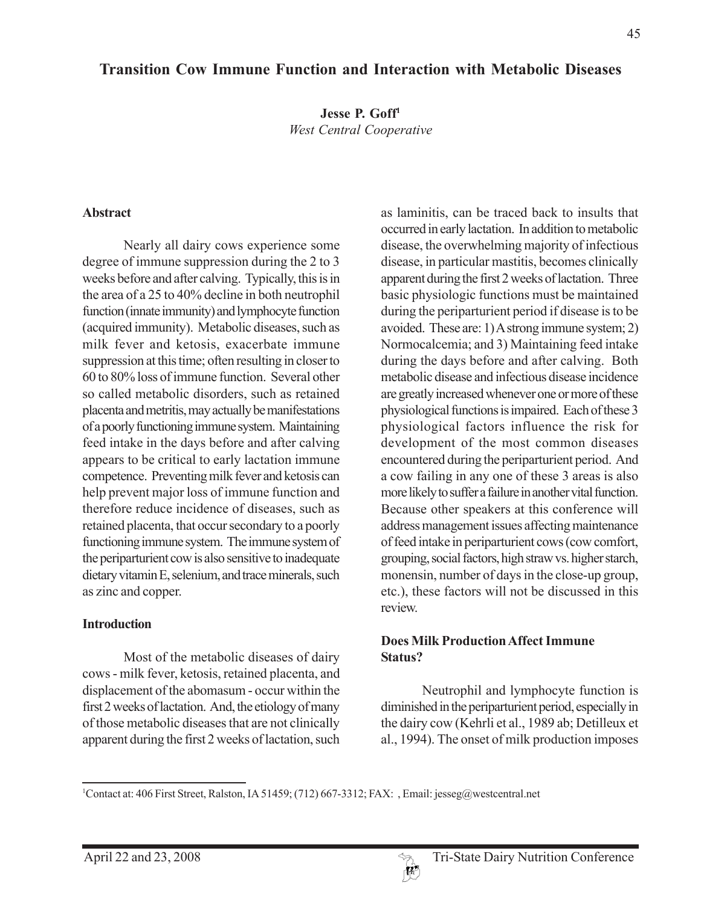# **Transition Cow Immune Function and Interaction with Metabolic Diseases**

**Jesse P. Goff1** *West Central Cooperative*

#### **Abstract**

Nearly all dairy cows experience some degree of immune suppression during the 2 to 3 weeks before and after calving. Typically, this is in the area of a 25 to 40% decline in both neutrophil function (innate immunity) and lymphocyte function (acquired immunity). Metabolic diseases, such as milk fever and ketosis, exacerbate immune suppression at this time; often resulting in closer to 60 to 80% loss of immune function. Several other so called metabolic disorders, such as retained placenta and metritis, may actually be manifestations of a poorly functioning immune system. Maintaining feed intake in the days before and after calving appears to be critical to early lactation immune competence. Preventing milk fever and ketosis can help prevent major loss of immune function and therefore reduce incidence of diseases, such as retained placenta, that occur secondary to a poorly functioning immune system. The immune system of the periparturient cow is also sensitive to inadequate dietary vitamin E, selenium, and trace minerals, such as zinc and copper.

#### **Introduction**

Most of the metabolic diseases of dairy cows - milk fever, ketosis, retained placenta, and displacement of the abomasum - occur within the first 2 weeks of lactation. And, the etiology of many of those metabolic diseases that are not clinically apparent during the first 2 weeks of lactation, such

as laminitis, can be traced back to insults that occurred in early lactation. In addition to metabolic disease, the overwhelming majority of infectious disease, in particular mastitis, becomes clinically apparent during the first 2 weeks of lactation. Three basic physiologic functions must be maintained during the periparturient period if disease is to be avoided. These are: 1) A strong immune system; 2) Normocalcemia; and 3) Maintaining feed intake during the days before and after calving. Both metabolic disease and infectious disease incidence are greatly increased whenever one or more of these physiological functions is impaired. Each of these 3 physiological factors influence the risk for development of the most common diseases encountered during the periparturient period. And a cow failing in any one of these 3 areas is also more likely to suffer a failure in another vital function. Because other speakers at this conference will address management issues affecting maintenance of feed intake in periparturient cows (cow comfort, grouping, social factors, high straw vs. higher starch, monensin, number of days in the close-up group, etc.), these factors will not be discussed in this review.

#### **Does Milk Production Affect Immune Status?**

Neutrophil and lymphocyte function is diminished in the periparturient period, especially in the dairy cow (Kehrli et al., 1989 ab; Detilleux et al., 1994). The onset of milk production imposes

<sup>1</sup> Contact at: 406 First Street, Ralston, IA 51459; (712) 667-3312; FAX: , Email: jesseg@westcentral.net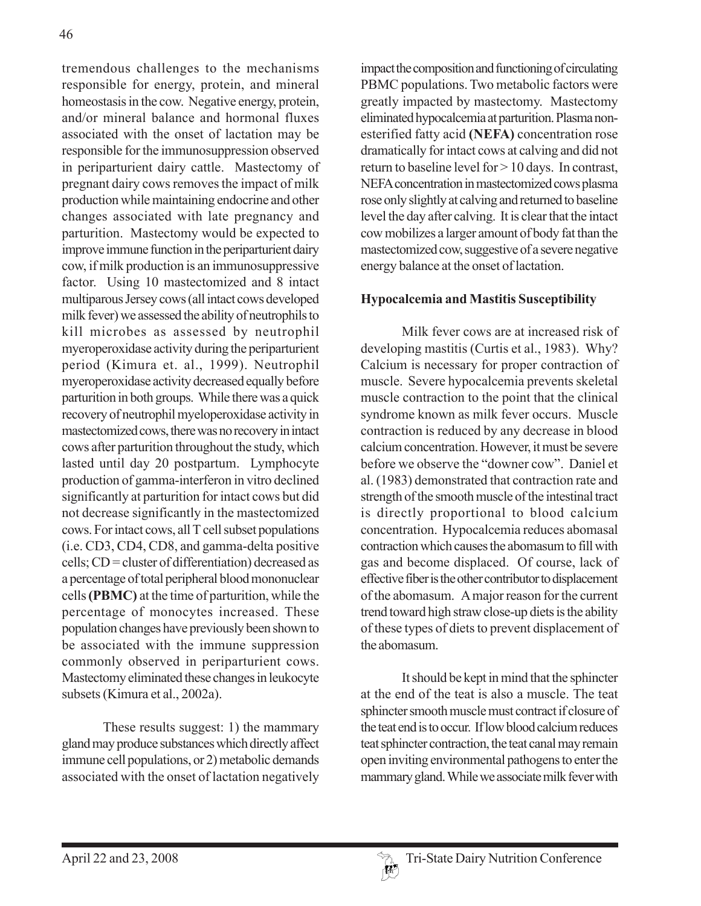tremendous challenges to the mechanisms responsible for energy, protein, and mineral homeostasis in the cow. Negative energy, protein, and/or mineral balance and hormonal fluxes associated with the onset of lactation may be responsible for the immunosuppression observed in periparturient dairy cattle. Mastectomy of pregnant dairy cows removes the impact of milk production while maintaining endocrine and other changes associated with late pregnancy and parturition. Mastectomy would be expected to improve immune function in the periparturient dairy cow, if milk production is an immunosuppressive factor. Using 10 mastectomized and 8 intact multiparous Jersey cows (all intact cows developed milk fever) we assessed the ability of neutrophils to kill microbes as assessed by neutrophil myeroperoxidase activity during the periparturient period (Kimura et. al., 1999). Neutrophil myeroperoxidase activity decreased equally before parturition in both groups. While there was a quick recovery of neutrophil myeloperoxidase activity in mastectomized cows, there was no recovery in intact cows after parturition throughout the study, which lasted until day 20 postpartum. Lymphocyte production of gamma-interferon in vitro declined significantly at parturition for intact cows but did not decrease significantly in the mastectomized cows. For intact cows, all T cell subset populations (i.e. CD3, CD4, CD8, and gamma-delta positive cells; CD = cluster of differentiation) decreased as a percentage of total peripheral blood mononuclear cells **(PBMC)** at the time of parturition, while the percentage of monocytes increased. These population changes have previously been shown to be associated with the immune suppression commonly observed in periparturient cows. Mastectomy eliminated these changes in leukocyte subsets (Kimura et al., 2002a).

These results suggest: 1) the mammary gland may produce substances which directly affect immune cell populations, or 2) metabolic demands associated with the onset of lactation negatively

impact the composition and functioning of circulating PBMC populations. Two metabolic factors were greatly impacted by mastectomy. Mastectomy eliminated hypocalcemia at parturition. Plasma nonesterified fatty acid **(NEFA)** concentration rose dramatically for intact cows at calving and did not return to baseline level for > 10 days. In contrast, NEFA concentration in mastectomized cows plasma rose only slightly at calving and returned to baseline level the day after calving. It is clear that the intact cow mobilizes a larger amount of body fat than the mastectomized cow, suggestive of a severe negative energy balance at the onset of lactation.

#### **Hypocalcemia and Mastitis Susceptibility**

Milk fever cows are at increased risk of developing mastitis (Curtis et al., 1983). Why? Calcium is necessary for proper contraction of muscle. Severe hypocalcemia prevents skeletal muscle contraction to the point that the clinical syndrome known as milk fever occurs. Muscle contraction is reduced by any decrease in blood calcium concentration. However, it must be severe before we observe the "downer cow". Daniel et al. (1983) demonstrated that contraction rate and strength of the smooth muscle of the intestinal tract is directly proportional to blood calcium concentration. Hypocalcemia reduces abomasal contraction which causes the abomasum to fill with gas and become displaced. Of course, lack of effective fiber is the other contributor to displacement of the abomasum. A major reason for the current trend toward high straw close-up diets is the ability of these types of diets to prevent displacement of the abomasum.

It should be kept in mind that the sphincter at the end of the teat is also a muscle. The teat sphincter smooth muscle must contract if closure of the teat end is to occur. If low blood calcium reduces teat sphincter contraction, the teat canal may remain open inviting environmental pathogens to enter the mammary gland. While we associate milk fever with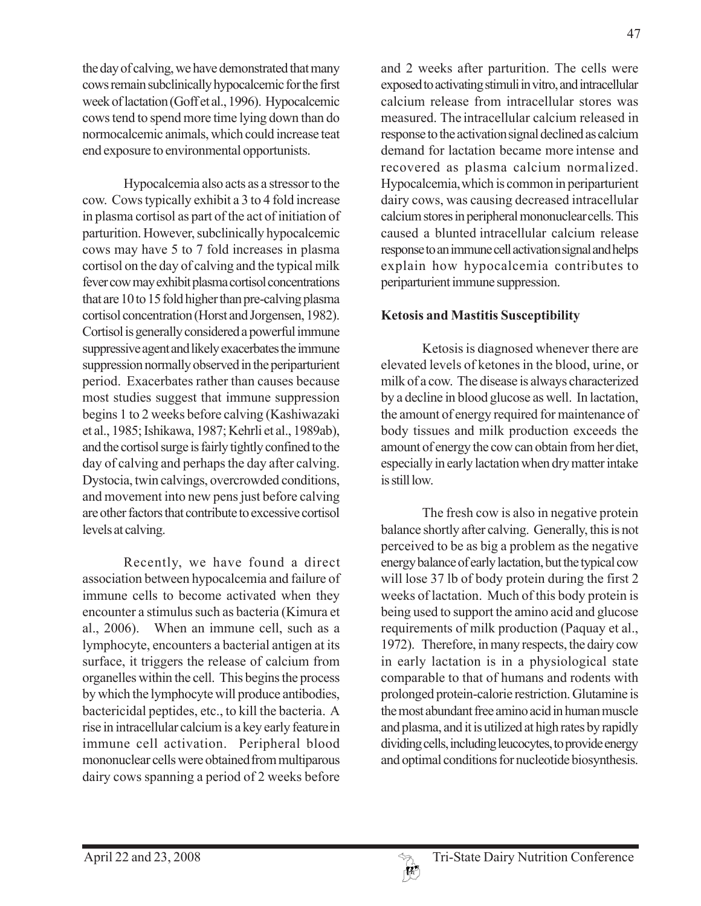the day of calving, we have demonstrated that many cows remain subclinically hypocalcemic for the first week of lactation (Goff et al., 1996). Hypocalcemic cows tend to spend more time lying down than do normocalcemic animals, which could increase teat end exposure to environmental opportunists.

Hypocalcemia also acts as a stressor to the cow. Cows typically exhibit a 3 to 4 fold increase in plasma cortisol as part of the act of initiation of parturition. However, subclinically hypocalcemic cows may have 5 to 7 fold increases in plasma cortisol on the day of calving and the typical milk fever cow may exhibit plasma cortisol concentrations that are 10 to 15 fold higher than pre-calving plasma cortisol concentration (Horst and Jorgensen, 1982). Cortisol is generally considered a powerful immune suppressive agent and likely exacerbates the immune suppression normally observed in the periparturient period. Exacerbates rather than causes because most studies suggest that immune suppression begins 1 to 2 weeks before calving (Kashiwazaki et al., 1985; Ishikawa, 1987; Kehrli et al., 1989ab), and the cortisol surge is fairly tightly confined to the day of calving and perhaps the day after calving. Dystocia, twin calvings, overcrowded conditions, and movement into new pens just before calving are other factors that contribute to excessive cortisol levels at calving.

Recently, we have found a direct association between hypocalcemia and failure of immune cells to become activated when they encounter a stimulus such as bacteria (Kimura et al., 2006). When an immune cell, such as a lymphocyte, encounters a bacterial antigen at its surface, it triggers the release of calcium from organelles within the cell. This begins the process by which the lymphocyte will produce antibodies, bactericidal peptides, etc., to kill the bacteria. A rise in intracellular calcium is a key early featurein immune cell activation. Peripheral blood mononuclear cells were obtained from multiparous dairy cows spanning a period of 2 weeks before

and 2 weeks after parturition. The cells were exposed to activating stimuli in vitro, and intracellular calcium release from intracellular stores was measured. The intracellular calcium released in response to the activationsignal declined as calcium demand for lactation became more intense and recovered as plasma calcium normalized. Hypocalcemia,which is common in periparturient dairy cows, was causing decreased intracellular calcium stores in peripheral mononuclearcells. This caused a blunted intracellular calcium release response to an immune cell activationsignal and helps explain how hypocalcemia contributes to periparturient immune suppression.

### **Ketosis and Mastitis Susceptibility**

Ketosis is diagnosed whenever there are elevated levels of ketones in the blood, urine, or milk of a cow. The disease is always characterized by a decline in blood glucose as well. In lactation, the amount of energy required for maintenance of body tissues and milk production exceeds the amount of energy the cow can obtain from her diet, especially in early lactation when dry matter intake is still low.

The fresh cow is also in negative protein balance shortly after calving. Generally, this is not perceived to be as big a problem as the negative energy balance of early lactation, but the typical cow will lose 37 lb of body protein during the first 2 weeks of lactation. Much of this body protein is being used to support the amino acid and glucose requirements of milk production (Paquay et al., 1972). Therefore, in many respects, the dairy cow in early lactation is in a physiological state comparable to that of humans and rodents with prolonged protein-calorie restriction. Glutamine is the most abundant free amino acid in human muscle and plasma, and it is utilized at high rates by rapidly dividing cells, including leucocytes, to provide energy and optimal conditions for nucleotide biosynthesis.

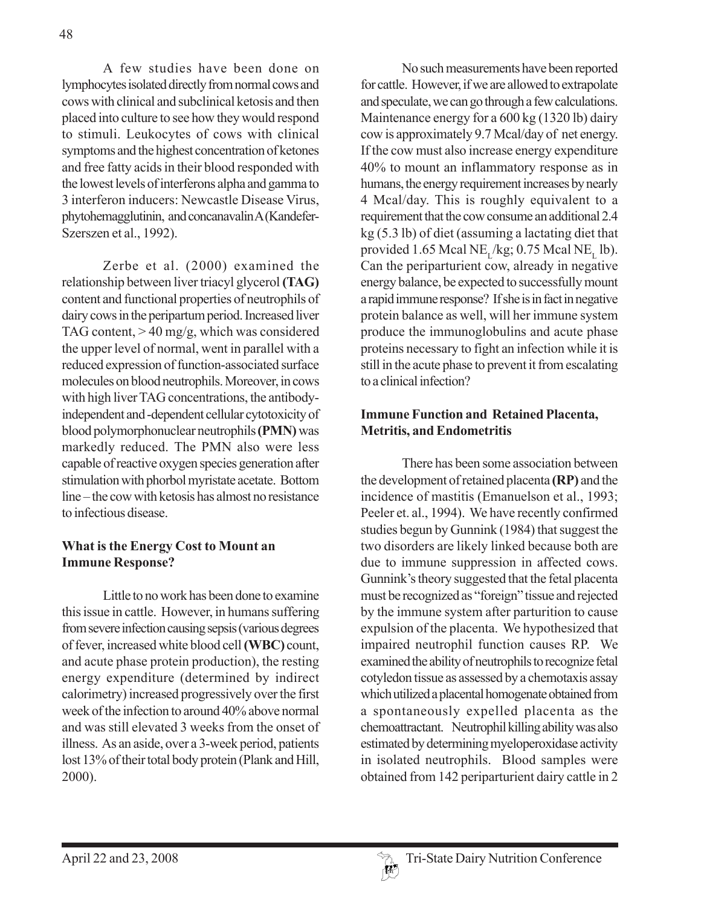A few studies have been done on lymphocytes isolated directly from normal cows and cows with clinical and subclinical ketosis and then placed into culture to see how they would respond to stimuli. Leukocytes of cows with clinical symptoms and the highest concentration of ketones and free fatty acids in their blood responded with the lowest levels of interferons alpha and gamma to 3 interferon inducers: Newcastle Disease Virus, phytohemagglutinin, and concanavalin A (Kandefer-Szerszen et al., 1992).

Zerbe et al. (2000) examined the relationship between liver triacyl glycerol **(TAG)** content and functional properties of neutrophils of dairy cows in the peripartum period. Increased liver TAG content,  $> 40$  mg/g, which was considered the upper level of normal, went in parallel with a reduced expression of function-associated surface molecules on blood neutrophils. Moreover, in cows with high liver TAG concentrations, the antibodyindependent and -dependent cellular cytotoxicity of blood polymorphonuclear neutrophils **(PMN)** was markedly reduced. The PMN also were less capable of reactive oxygen species generation after stimulation with phorbol myristate acetate. Bottom line – the cow with ketosis has almost no resistance to infectious disease.

### **What is the Energy Cost to Mount an Immune Response?**

Little to no work has been done to examine this issue in cattle. However, in humans suffering from severe infection causing sepsis (various degrees of fever, increased white blood cell **(WBC)** count, and acute phase protein production), the resting energy expenditure (determined by indirect calorimetry) increased progressively over the first week of the infection to around 40% above normal and was still elevated 3 weeks from the onset of illness. As an aside, over a 3-week period, patients lost 13% of their total body protein (Plank and Hill, 2000).

No such measurements have been reported for cattle. However, if we are allowed to extrapolate and speculate, we can go through a few calculations. Maintenance energy for a 600 kg (1320 lb) dairy cow is approximately 9.7 Mcal/day of net energy. If the cow must also increase energy expenditure 40% to mount an inflammatory response as in humans, the energy requirement increases by nearly 4 Mcal/day. This is roughly equivalent to a requirement that the cow consume an additional 2.4 kg (5.3 lb) of diet (assuming a lactating diet that provided 1.65 Mcal NE<sub>r</sub>/kg; 0.75 Mcal NE<sub>r</sub> lb). Can the periparturient cow, already in negative energy balance, be expected to successfully mount a rapid immune response? If she is in fact in negative protein balance as well, will her immune system produce the immunoglobulins and acute phase proteins necessary to fight an infection while it is still in the acute phase to prevent it from escalating to a clinical infection?

### **Immune Function and Retained Placenta, Metritis, and Endometritis**

There has been some association between the development of retained placenta **(RP)** and the incidence of mastitis (Emanuelson et al., 1993; Peeler et. al., 1994). We have recently confirmed studies begun by Gunnink (1984) that suggest the two disorders are likely linked because both are due to immune suppression in affected cows. Gunnink's theory suggested that the fetal placenta must be recognized as "foreign" tissue and rejected by the immune system after parturition to cause expulsion of the placenta. We hypothesized that impaired neutrophil function causes RP. We examined the ability of neutrophils to recognize fetal cotyledon tissue as assessed by a chemotaxis assay which utilized a placental homogenate obtained from a spontaneously expelled placenta as the chemoattractant. Neutrophil killing ability was also estimated by determining myeloperoxidase activity in isolated neutrophils. Blood samples were obtained from 142 periparturient dairy cattle in 2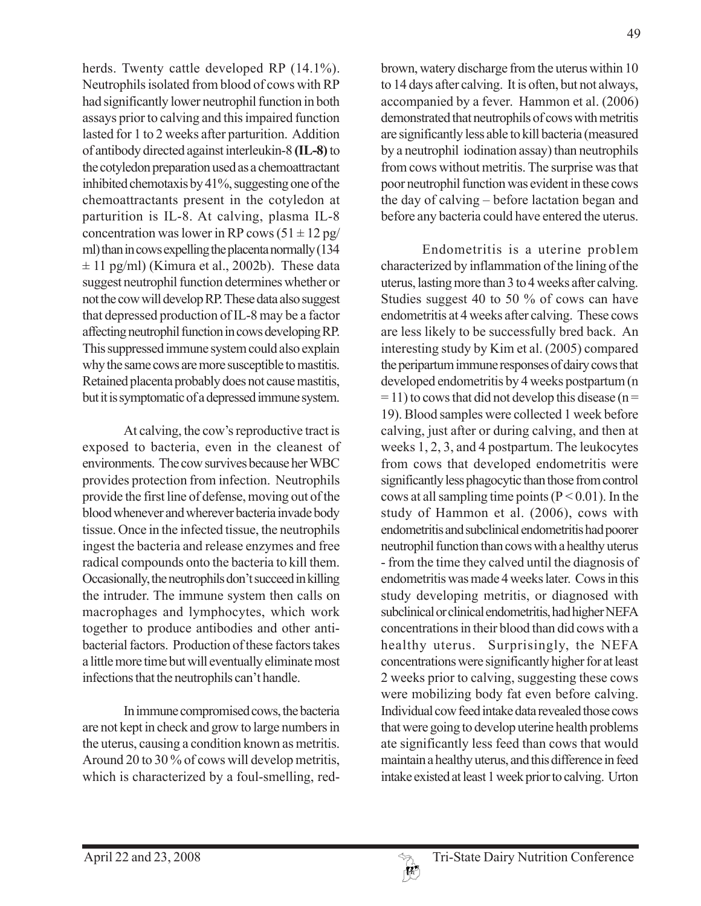herds. Twenty cattle developed RP (14.1%). Neutrophils isolated from blood of cows with RP had significantly lower neutrophil function in both assays prior to calving and this impaired function lasted for 1 to 2 weeks after parturition. Addition of antibody directed against interleukin-8 **(IL-8)** to the cotyledon preparation used as a chemoattractant inhibited chemotaxis by 41%, suggesting one of the chemoattractants present in the cotyledon at parturition is IL-8. At calving, plasma IL-8 concentration was lower in RP cows  $(51 \pm 12 \text{ pg})$ ml) than in cows expelling the placenta normally (134  $\pm$  11 pg/ml) (Kimura et al., 2002b). These data suggest neutrophil function determines whether or not the cow will develop RP. These data also suggest that depressed production of IL-8 may be a factor affecting neutrophil function in cows developing RP. This suppressed immune system could also explain why the same cows are more susceptible to mastitis. Retained placenta probably does not cause mastitis, but it is symptomatic of a depressed immune system.

At calving, the cow's reproductive tract is exposed to bacteria, even in the cleanest of environments. The cow survives because her WBC provides protection from infection. Neutrophils provide the first line of defense, moving out of the blood whenever and wherever bacteria invade body tissue. Once in the infected tissue, the neutrophils ingest the bacteria and release enzymes and free radical compounds onto the bacteria to kill them. Occasionally, the neutrophils don't succeed in killing the intruder. The immune system then calls on macrophages and lymphocytes, which work together to produce antibodies and other antibacterial factors. Production of these factors takes a little more time but will eventually eliminate most infections that the neutrophils can't handle.

In immune compromised cows, the bacteria are not kept in check and grow to large numbers in the uterus, causing a condition known as metritis. Around 20 to 30 % of cows will develop metritis, which is characterized by a foul-smelling, redbrown, watery discharge from the uterus within 10 to 14 days after calving. It is often, but not always, accompanied by a fever. Hammon et al. (2006) demonstrated that neutrophils of cows with metritis are significantly less able to kill bacteria (measured by a neutrophil iodination assay) than neutrophils from cows without metritis. The surprise was that poor neutrophil function was evident in these cows the day of calving – before lactation began and before any bacteria could have entered the uterus.

Endometritis is a uterine problem characterized by inflammation of the lining of the uterus, lasting more than 3 to 4 weeks after calving. Studies suggest 40 to 50 % of cows can have endometritis at 4 weeks after calving. These cows are less likely to be successfully bred back. An interesting study by Kim et al. (2005) compared the peripartum immune responses of dairy cows that developed endometritis by 4 weeks postpartum (n  $=$  11) to cows that did not develop this disease (n = 19). Blood samples were collected 1 week before calving, just after or during calving, and then at weeks 1, 2, 3, and 4 postpartum. The leukocytes from cows that developed endometritis were significantly less phagocytic than those from control cows at all sampling time points ( $P < 0.01$ ). In the study of Hammon et al. (2006), cows with endometritis and subclinical endometritis had poorer neutrophil function than cows with a healthy uterus - from the time they calved until the diagnosis of endometritis was made 4 weeks later. Cows in this study developing metritis, or diagnosed with subclinical or clinical endometritis, had higher NEFA concentrations in their blood than did cows with a healthy uterus. Surprisingly, the NEFA concentrations were significantly higher for at least 2 weeks prior to calving, suggesting these cows were mobilizing body fat even before calving. Individual cow feed intake data revealed those cows that were going to develop uterine health problems ate significantly less feed than cows that would maintain a healthy uterus, and this difference in feed intake existed at least 1 week prior to calving. Urton

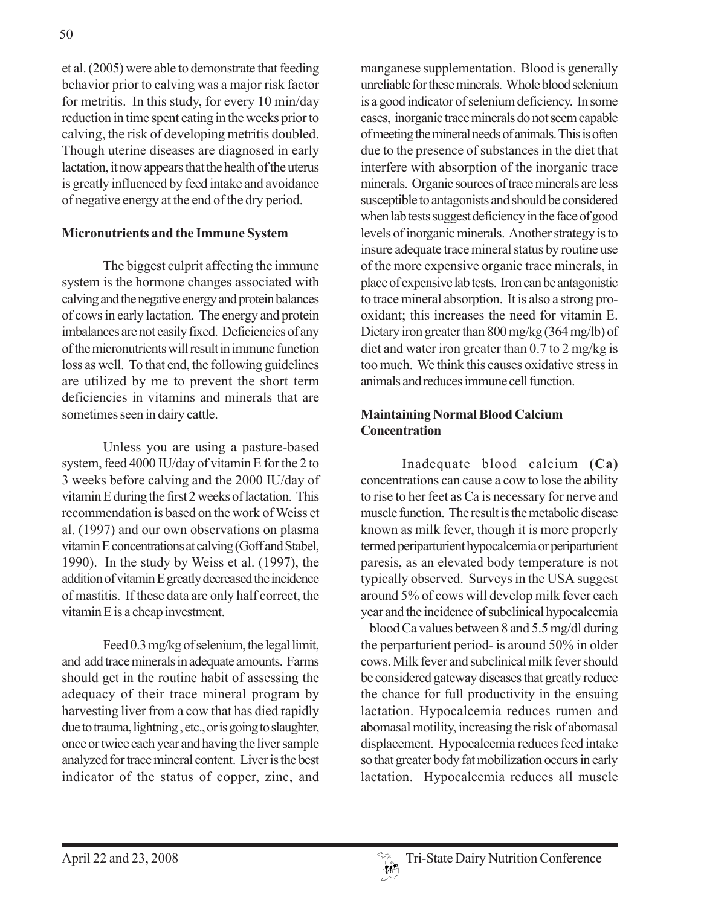et al. (2005) were able to demonstrate that feeding behavior prior to calving was a major risk factor for metritis. In this study, for every 10 min/day reduction in time spent eating in the weeks prior to calving, the risk of developing metritis doubled. Though uterine diseases are diagnosed in early lactation, it now appears that the health of the uterus is greatly influenced by feed intake and avoidance of negative energy at the end of the dry period.

#### **Micronutrients and the Immune System**

The biggest culprit affecting the immune system is the hormone changes associated with calving and the negative energy and protein balances of cows in early lactation. The energy and protein imbalances are not easily fixed. Deficiencies of any of the micronutrients will result in immune function loss as well. To that end, the following guidelines are utilized by me to prevent the short term deficiencies in vitamins and minerals that are sometimes seen in dairy cattle.

Unless you are using a pasture-based system, feed 4000 IU/day of vitamin E for the 2 to 3 weeks before calving and the 2000 IU/day of vitamin E during the first 2 weeks of lactation. This recommendation is based on the work of Weiss et al. (1997) and our own observations on plasma vitamin E concentrations at calving (Goff and Stabel, 1990). In the study by Weiss et al. (1997), the addition of vitamin E greatly decreased the incidence of mastitis. If these data are only half correct, the vitamin E is a cheap investment.

Feed 0.3 mg/kg of selenium, the legal limit, and add trace minerals in adequate amounts. Farms should get in the routine habit of assessing the adequacy of their trace mineral program by harvesting liver from a cow that has died rapidly due to trauma, lightning , etc., or is going to slaughter, once or twice each year and having the liver sample analyzed for trace mineral content. Liver is the best indicator of the status of copper, zinc, and

manganese supplementation. Blood is generally unreliable for these minerals. Whole blood selenium is a good indicator of selenium deficiency. In some cases, inorganic trace minerals do not seem capable of meeting the mineral needs of animals. This is often due to the presence of substances in the diet that interfere with absorption of the inorganic trace minerals. Organic sources of trace minerals are less susceptible to antagonists and should be considered when lab tests suggest deficiency in the face of good levels of inorganic minerals. Another strategy is to insure adequate trace mineral status by routine use of the more expensive organic trace minerals, in place of expensive lab tests. Iron can be antagonistic to trace mineral absorption. It is also a strong prooxidant; this increases the need for vitamin E. Dietary iron greater than 800 mg/kg (364 mg/lb) of diet and water iron greater than 0.7 to 2 mg/kg is too much. We think this causes oxidative stress in animals and reduces immune cell function.

### **Maintaining Normal Blood Calcium Concentration**

Inadequate blood calcium **(Ca)** concentrations can cause a cow to lose the ability to rise to her feet as Ca is necessary for nerve and muscle function. The result is the metabolic disease known as milk fever, though it is more properly termed periparturient hypocalcemia or periparturient paresis, as an elevated body temperature is not typically observed. Surveys in the USA suggest around 5% of cows will develop milk fever each year and the incidence of subclinical hypocalcemia – blood Ca values between 8 and 5.5 mg/dl during the perparturient period- is around 50% in older cows. Milk fever and subclinical milk fever should be considered gateway diseases that greatly reduce the chance for full productivity in the ensuing lactation. Hypocalcemia reduces rumen and abomasal motility, increasing the risk of abomasal displacement. Hypocalcemia reduces feed intake so that greater body fat mobilization occurs in early lactation. Hypocalcemia reduces all muscle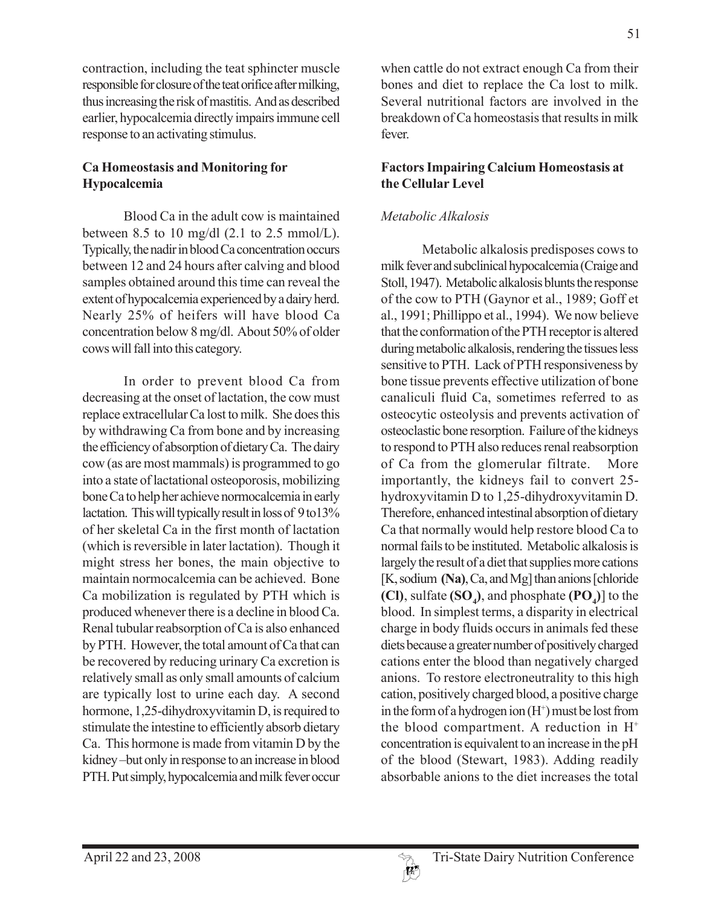contraction, including the teat sphincter muscle responsible for closure of the teat orifice after milking, thus increasing the risk of mastitis. And as described earlier, hypocalcemia directly impairs immune cell response to an activating stimulus.

## **Ca Homeostasis and Monitoring for Hypocalcemia**

Blood Ca in the adult cow is maintained between 8.5 to 10 mg/dl  $(2.1 \text{ to } 2.5 \text{ mmol/L}).$ Typically, the nadir in blood Ca concentration occurs between 12 and 24 hours after calving and blood samples obtained around this time can reveal the extent of hypocalcemia experienced by a dairy herd. Nearly 25% of heifers will have blood Ca concentration below 8 mg/dl. About 50% of older cows will fall into this category.

In order to prevent blood Ca from decreasing at the onset of lactation, the cow must replace extracellular Ca lost to milk. She does this by withdrawing Ca from bone and by increasing the efficiency of absorption of dietary Ca. The dairy cow (as are most mammals) is programmed to go into a state of lactational osteoporosis, mobilizing bone Ca to help her achieve normocalcemia in early lactation. This will typically result in loss of 9 to13% of her skeletal Ca in the first month of lactation (which is reversible in later lactation). Though it might stress her bones, the main objective to maintain normocalcemia can be achieved. Bone Ca mobilization is regulated by PTH which is produced whenever there is a decline in blood Ca. Renal tubular reabsorption of Ca is also enhanced by PTH. However, the total amount of Ca that can be recovered by reducing urinary Ca excretion is relatively small as only small amounts of calcium are typically lost to urine each day. A second hormone, 1,25-dihydroxyvitamin D, is required to stimulate the intestine to efficiently absorb dietary Ca. This hormone is made from vitamin D by the kidney –but only in response to an increase in blood PTH. Put simply, hypocalcemia and milk fever occur

when cattle do not extract enough Ca from their bones and diet to replace the Ca lost to milk. Several nutritional factors are involved in the breakdown of Ca homeostasis that results in milk fever.

### **Factors Impairing Calcium Homeostasis at the Cellular Level**

# *Metabolic Alkalosis*

Metabolic alkalosis predisposes cows to milk fever and subclinical hypocalcemia (Craige and Stoll, 1947). Metabolic alkalosis blunts the response of the cow to PTH (Gaynor et al., 1989; Goff et al., 1991; Phillippo et al., 1994). We now believe that the conformation of the PTH receptor is altered during metabolic alkalosis, rendering the tissues less sensitive to PTH. Lack of PTH responsiveness by bone tissue prevents effective utilization of bone canaliculi fluid Ca, sometimes referred to as osteocytic osteolysis and prevents activation of osteoclastic bone resorption. Failure of the kidneys to respond to PTH also reduces renal reabsorption of Ca from the glomerular filtrate. More importantly, the kidneys fail to convert 25 hydroxyvitamin D to 1,25-dihydroxyvitamin D. Therefore, enhanced intestinal absorption of dietary Ca that normally would help restore blood Ca to normal fails to be instituted. Metabolic alkalosis is largely the result of a diet that supplies more cations [K, sodium **(Na)**, Ca, and Mg] than anions [chloride **(Cl)**, sulfate  $(\mathbf{SO}_4)$ , and phosphate  $(\mathbf{PO}_4)$  to the blood. In simplest terms, a disparity in electrical charge in body fluids occurs in animals fed these diets because a greater number of positively charged cations enter the blood than negatively charged anions. To restore electroneutrality to this high cation, positively charged blood, a positive charge in the form of a hydrogen ion  $(H^+)$  must be lost from the blood compartment. A reduction in  $H^+$ concentration is equivalent to an increase in the pH of the blood (Stewart, 1983). Adding readily absorbable anions to the diet increases the total

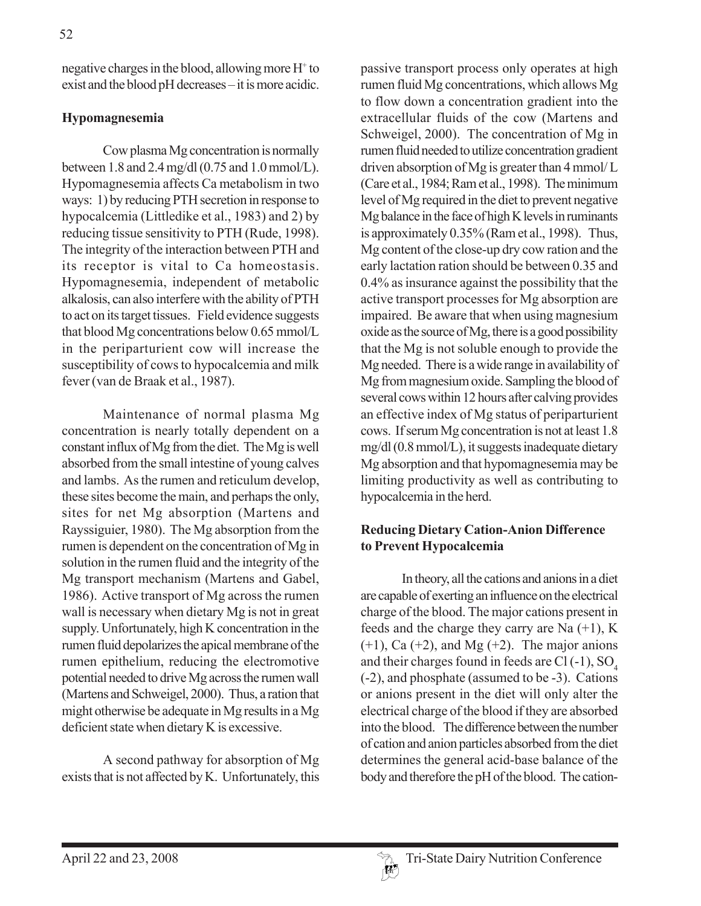negative charges in the blood, allowing more H+ to exist and the blood pH decreases – it is more acidic.

## **Hypomagnesemia**

Cow plasma Mg concentration is normally between 1.8 and 2.4 mg/dl (0.75 and 1.0 mmol/L). Hypomagnesemia affects Ca metabolism in two ways: 1) by reducing PTH secretion in response to hypocalcemia (Littledike et al., 1983) and 2) by reducing tissue sensitivity to PTH (Rude, 1998). The integrity of the interaction between PTH and its receptor is vital to Ca homeostasis. Hypomagnesemia, independent of metabolic alkalosis, can also interfere with the ability of PTH to act on its target tissues. Field evidence suggests that blood Mg concentrations below 0.65 mmol/L in the periparturient cow will increase the susceptibility of cows to hypocalcemia and milk fever (van de Braak et al., 1987).

Maintenance of normal plasma Mg concentration is nearly totally dependent on a constant influx of Mg from the diet. The Mg is well absorbed from the small intestine of young calves and lambs. As the rumen and reticulum develop, these sites become the main, and perhaps the only, sites for net Mg absorption (Martens and Rayssiguier, 1980). The Mg absorption from the rumen is dependent on the concentration of Mg in solution in the rumen fluid and the integrity of the Mg transport mechanism (Martens and Gabel, 1986). Active transport of Mg across the rumen wall is necessary when dietary Mg is not in great supply. Unfortunately, high K concentration in the rumen fluid depolarizes the apical membrane of the rumen epithelium, reducing the electromotive potential needed to drive Mg across the rumen wall (Martens and Schweigel, 2000). Thus, a ration that might otherwise be adequate in Mg results in a Mg deficient state when dietary K is excessive.

A second pathway for absorption of Mg exists that is not affected by K. Unfortunately, this

passive transport process only operates at high rumen fluid Mg concentrations, which allows Mg to flow down a concentration gradient into the extracellular fluids of the cow (Martens and Schweigel, 2000). The concentration of Mg in rumen fluid needed to utilize concentration gradient driven absorption of Mg is greater than 4 mmol/ L (Care et al., 1984; Ram et al., 1998). The minimum level of Mg required in the diet to prevent negative Mg balance in the face of high K levels in ruminants is approximately 0.35% (Ram et al., 1998). Thus, Mg content of the close-up dry cow ration and the early lactation ration should be between 0.35 and 0.4% as insurance against the possibility that the active transport processes for Mg absorption are impaired. Be aware that when using magnesium oxide as the source of Mg, there is a good possibility that the Mg is not soluble enough to provide the Mg needed. There is a wide range in availability of Mg from magnesium oxide. Sampling the blood of several cows within 12 hours after calving provides an effective index of Mg status of periparturient cows. If serum Mg concentration is not at least 1.8 mg/dl (0.8 mmol/L), it suggests inadequate dietary Mg absorption and that hypomagnesemia may be limiting productivity as well as contributing to hypocalcemia in the herd.

### **Reducing Dietary Cation-Anion Difference to Prevent Hypocalcemia**

In theory, all the cations and anions in a diet are capable of exerting an influence on the electrical charge of the blood. The major cations present in feeds and the charge they carry are Na  $(+1)$ , K  $(+1)$ , Ca  $(+2)$ , and Mg  $(+2)$ . The major anions and their charges found in feeds are  $Cl(-1)$ , SO. (-2), and phosphate (assumed to be -3). Cations or anions present in the diet will only alter the electrical charge of the blood if they are absorbed into the blood. The difference between the number of cation and anion particles absorbed from the diet determines the general acid-base balance of the body and therefore the pH of the blood. The cation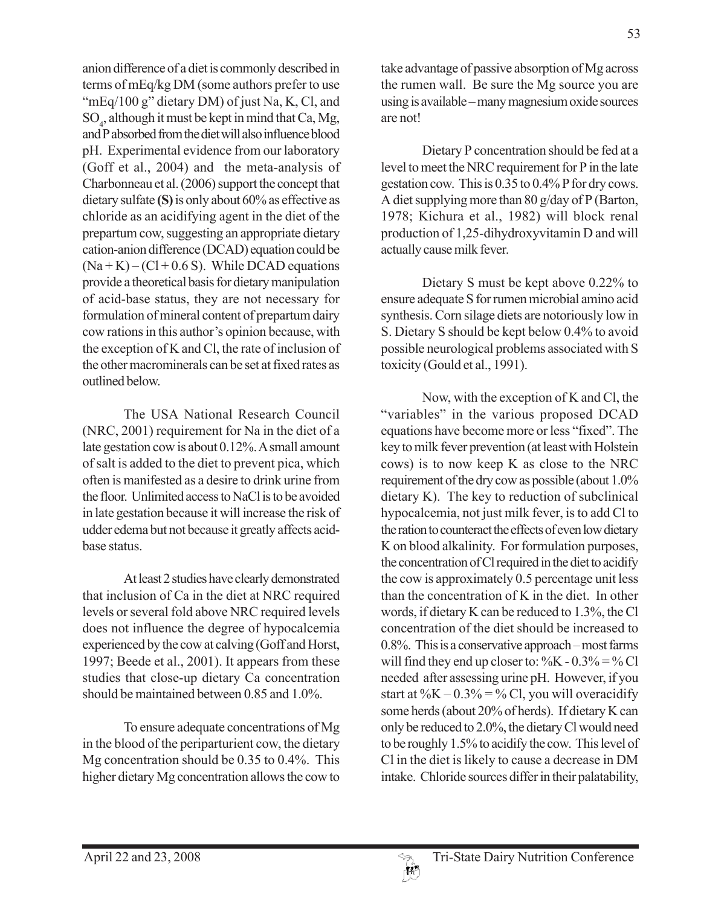anion difference of a diet is commonly described in terms of mEq/kg DM (some authors prefer to use "mEq/100 g" dietary DM) of just Na, K, Cl, and SO4 , although it must be kept in mind that Ca, Mg, and P absorbed from the diet will also influence blood pH. Experimental evidence from our laboratory (Goff et al., 2004) and the meta-analysis of Charbonneau et al. (2006) support the concept that dietary sulfate **(S)** is only about 60% as effective as chloride as an acidifying agent in the diet of the prepartum cow, suggesting an appropriate dietary cation-anion difference (DCAD) equation could be  $(Na + K) - (Cl + 0.6 S)$ . While DCAD equations provide a theoretical basis for dietary manipulation of acid-base status, they are not necessary for formulation of mineral content of prepartum dairy cow rations in this author's opinion because, with the exception of K and Cl, the rate of inclusion of the other macrominerals can be set at fixed rates as outlined below.

The USA National Research Council (NRC, 2001) requirement for Na in the diet of a late gestation cow is about 0.12%. A small amount of salt is added to the diet to prevent pica, which often is manifested as a desire to drink urine from the floor. Unlimited access to NaCl is to be avoided in late gestation because it will increase the risk of udder edema but not because it greatly affects acidbase status.

At least 2 studies have clearly demonstrated that inclusion of Ca in the diet at NRC required levels or several fold above NRC required levels does not influence the degree of hypocalcemia experienced by the cow at calving (Goff and Horst, 1997; Beede et al., 2001). It appears from these studies that close-up dietary Ca concentration should be maintained between 0.85 and 1.0%.

To ensure adequate concentrations of Mg in the blood of the periparturient cow, the dietary Mg concentration should be 0.35 to 0.4%. This higher dietary Mg concentration allows the cow to

take advantage of passive absorption of Mg across the rumen wall. Be sure the Mg source you are using is available – many magnesium oxide sources are not!

Dietary P concentration should be fed at a level to meet the NRC requirement for P in the late gestation cow. This is 0.35 to 0.4% P for dry cows. A diet supplying more than 80 g/day of P (Barton, 1978; Kichura et al., 1982) will block renal production of 1,25-dihydroxyvitamin D and will actually cause milk fever.

Dietary S must be kept above 0.22% to ensure adequate S for rumen microbial amino acid synthesis. Corn silage diets are notoriously low in S. Dietary S should be kept below 0.4% to avoid possible neurological problems associated with S toxicity (Gould et al., 1991).

Now, with the exception of K and Cl, the "variables" in the various proposed DCAD equations have become more or less "fixed". The key to milk fever prevention (at least with Holstein cows) is to now keep K as close to the NRC requirement of the dry cow as possible (about 1.0% dietary K). The key to reduction of subclinical hypocalcemia, not just milk fever, is to add Cl to the ration to counteract the effects of even low dietary K on blood alkalinity. For formulation purposes, the concentration of Cl required in the diet to acidify the cow is approximately 0.5 percentage unit less than the concentration of K in the diet. In other words, if dietary K can be reduced to 1.3%, the Cl concentration of the diet should be increased to 0.8%. This is a conservative approach – most farms will find they end up closer to:  $\%K - 0.3\% = \%Cl$ needed after assessing urine pH. However, if you start at  $\%K - 0.3\% = \% CI$ , you will overacidify some herds (about 20% of herds). If dietary K can only be reduced to 2.0%, the dietary Cl would need to be roughly 1.5% to acidify the cow. This level of Cl in the diet is likely to cause a decrease in DM intake. Chloride sources differ in their palatability,

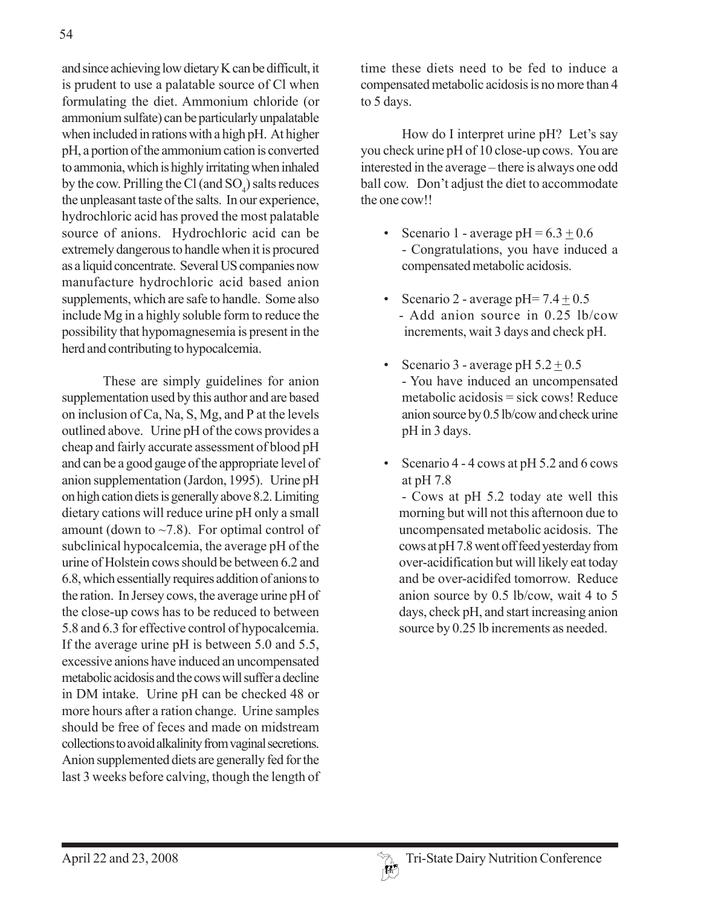54

and since achieving low dietary K can be difficult, it is prudent to use a palatable source of Cl when formulating the diet. Ammonium chloride (or ammonium sulfate) can be particularly unpalatable when included in rations with a high pH. At higher pH, a portion of the ammonium cation is converted to ammonia, which is highly irritating when inhaled by the cow. Prilling the Cl (and  $SO_4$ ) salts reduces the unpleasant taste of the salts. In our experience, hydrochloric acid has proved the most palatable source of anions. Hydrochloric acid can be extremely dangerous to handle when it is procured as a liquid concentrate. Several US companies now manufacture hydrochloric acid based anion supplements, which are safe to handle. Some also include Mg in a highly soluble form to reduce the possibility that hypomagnesemia is present in the herd and contributing to hypocalcemia.

These are simply guidelines for anion supplementation used by this author and are based on inclusion of Ca, Na, S, Mg, and P at the levels outlined above. Urine pH of the cows provides a cheap and fairly accurate assessment of blood pH and can be a good gauge of the appropriate level of anion supplementation (Jardon, 1995). Urine pH on high cation diets is generally above 8.2. Limiting dietary cations will reduce urine pH only a small amount (down to  $\sim$ 7.8). For optimal control of subclinical hypocalcemia, the average pH of the urine of Holstein cows should be between 6.2 and 6.8, which essentially requires addition of anions to the ration. In Jersey cows, the average urine pH of the close-up cows has to be reduced to between 5.8 and 6.3 for effective control of hypocalcemia. If the average urine pH is between 5.0 and 5.5, excessive anions have induced an uncompensated metabolic acidosis and the cows will suffer a decline in DM intake. Urine pH can be checked 48 or more hours after a ration change. Urine samples should be free of feces and made on midstream collections to avoid alkalinity from vaginal secretions. Anion supplemented diets are generally fed for the last 3 weeks before calving, though the length of time these diets need to be fed to induce a compensated metabolic acidosis is no more than 4 to 5 days.

How do I interpret urine pH? Let's say you check urine pH of 10 close-up cows. You are interested in the average – there is always one odd ball cow. Don't adjust the diet to accommodate the one cow!!

- Scenario 1 average  $pH = 6.3 + 0.6$ - Congratulations, you have induced a compensated metabolic acidosis.
- Scenario 2 average pH=  $7.4 \pm 0.5$ - Add anion source in 0.25 lb/cow increments, wait 3 days and check pH.
- Scenario 3 average pH  $5.2 \pm 0.5$ - You have induced an uncompensated metabolic acidosis = sick cows! Reduce anion source by 0.5 lb/cow and check urine pH in 3 days.
- Scenario 4 4 cows at pH 5.2 and 6 cows at pH 7.8

- Cows at pH 5.2 today ate well this morning but will not this afternoon due to uncompensated metabolic acidosis. The cows at pH 7.8 went off feed yesterday from over-acidification but will likely eat today and be over-acidifed tomorrow. Reduce anion source by 0.5 lb/cow, wait 4 to 5 days, check pH, and start increasing anion source by 0.25 lb increments as needed.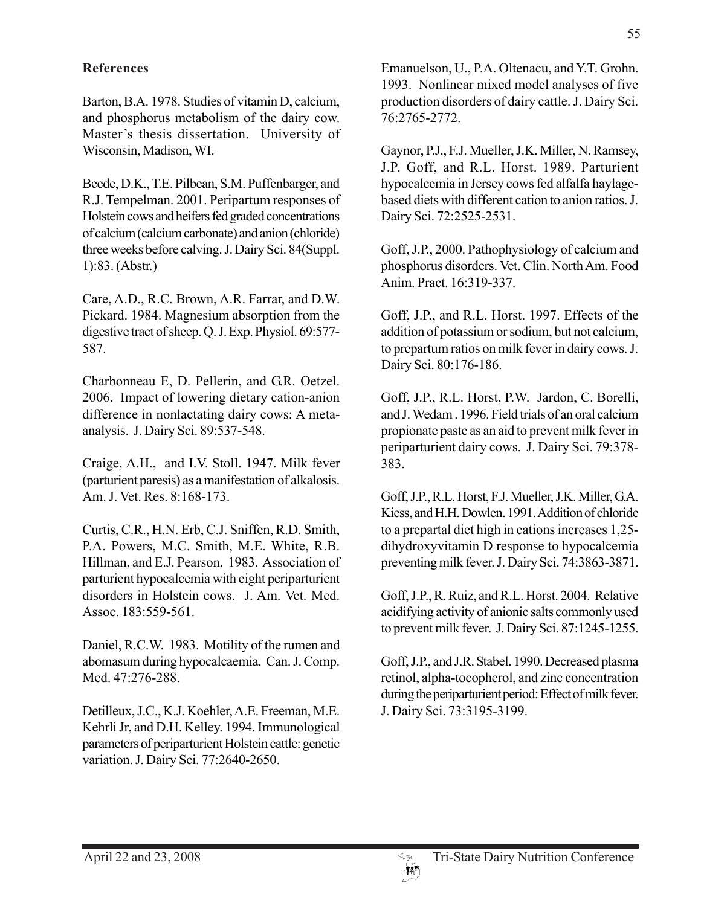#### **References**

Barton, B.A. 1978. Studies of vitamin D, calcium, and phosphorus metabolism of the dairy cow. Master's thesis dissertation. University of Wisconsin, Madison, WI.

Beede, D.K., T.E. Pilbean, S.M. Puffenbarger, and R.J. Tempelman. 2001. Peripartum responses of Holstein cows and heifers fed graded concentrations of calcium (calcium carbonate) and anion (chloride) three weeks before calving. J. Dairy Sci. 84(Suppl. 1):83. (Abstr.)

Care, A.D., R.C. Brown, A.R. Farrar, and D.W. Pickard. 1984. Magnesium absorption from the digestive tract of sheep. Q. J. Exp. Physiol. 69:577- 587.

Charbonneau E, D. Pellerin, and G.R. Oetzel. 2006. Impact of lowering dietary cation-anion difference in nonlactating dairy cows: A metaanalysis. J. Dairy Sci. 89:537-548.

Craige, A.H., and I.V. Stoll. 1947. Milk fever (parturient paresis) as a manifestation of alkalosis. Am. J. Vet. Res. 8:168-173.

Curtis, C.R., H.N. Erb, C.J. Sniffen, R.D. Smith, P.A. Powers, M.C. Smith, M.E. White, R.B. Hillman, and E.J. Pearson. 1983. Association of parturient hypocalcemia with eight periparturient disorders in Holstein cows. J. Am. Vet. Med. Assoc. 183:559-561.

Daniel, R.C.W. 1983. Motility of the rumen and abomasum during hypocalcaemia. Can. J. Comp. Med. 47:276-288.

Detilleux, J.C., K.J. Koehler, A.E. Freeman, M.E. Kehrli Jr, and D.H. Kelley. 1994. Immunological parameters of periparturient Holstein cattle: genetic variation. J. Dairy Sci. 77:2640-2650.

Emanuelson, U., P.A. Oltenacu, and Y.T. Grohn. 1993. Nonlinear mixed model analyses of five production disorders of dairy cattle. J. Dairy Sci. 76:2765-2772.

Gaynor, P.J., F.J. Mueller, J.K. Miller, N. Ramsey, J.P. Goff, and R.L. Horst. 1989. Parturient hypocalcemia in Jersey cows fed alfalfa haylagebased diets with different cation to anion ratios. J. Dairy Sci. 72:2525-2531.

Goff, J.P., 2000. Pathophysiology of calcium and phosphorus disorders. Vet. Clin. North Am. Food Anim. Pract. 16:319-337.

Goff, J.P., and R.L. Horst. 1997. Effects of the addition of potassium or sodium, but not calcium, to prepartum ratios on milk fever in dairy cows. J. Dairy Sci. 80:176-186.

Goff, J.P., R.L. Horst, P.W. Jardon, C. Borelli, and J. Wedam . 1996. Field trials of an oral calcium propionate paste as an aid to prevent milk fever in periparturient dairy cows. J. Dairy Sci. 79:378- 383.

Goff, J.P., R.L. Horst, F.J. Mueller, J.K. Miller, G.A. Kiess, and H.H. Dowlen. 1991. Addition of chloride to a prepartal diet high in cations increases 1,25 dihydroxyvitamin D response to hypocalcemia preventing milk fever. J. Dairy Sci. 74:3863-3871.

Goff, J.P., R. Ruiz, and R.L. Horst. 2004. Relative acidifying activity of anionic salts commonly used to prevent milk fever. J. Dairy Sci. 87:1245-1255.

Goff, J.P., and J.R. Stabel. 1990. Decreased plasma retinol, alpha-tocopherol, and zinc concentration during the periparturient period: Effect of milk fever. J. Dairy Sci. 73:3195-3199.

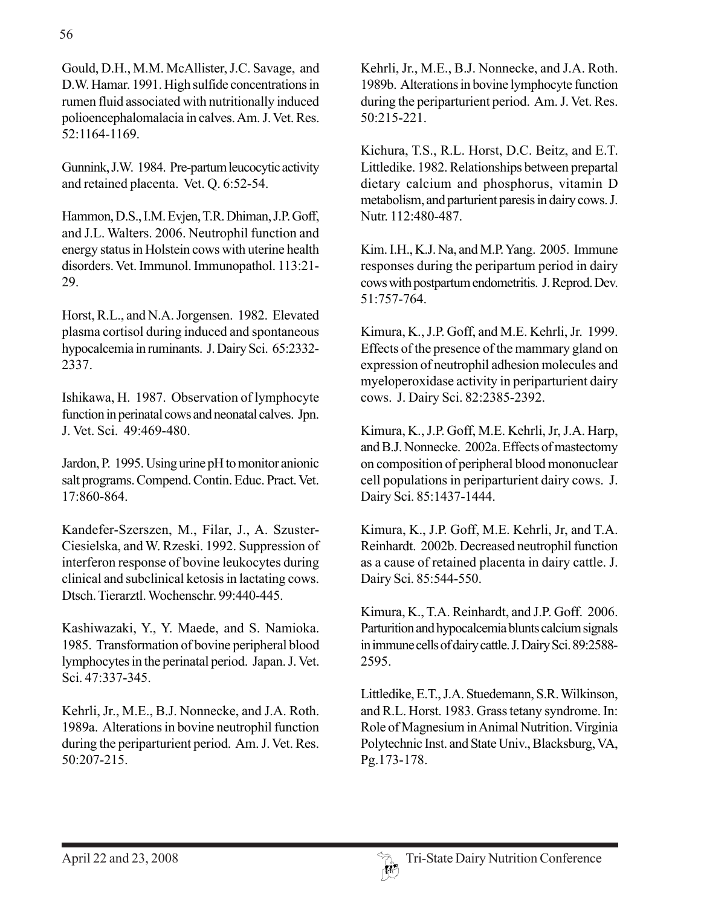Gould, D.H., M.M. McAllister, J.C. Savage, and D.W. Hamar. 1991. High sulfide concentrations in rumen fluid associated with nutritionally induced polioencephalomalacia in calves. Am. J. Vet. Res. 52:1164-1169.

Gunnink, J.W. 1984. Pre-partum leucocytic activity and retained placenta. Vet. Q. 6:52-54.

Hammon, D.S., I.M. Evjen, T.R. Dhiman, J.P. Goff, and J.L. Walters. 2006. Neutrophil function and energy status in Holstein cows with uterine health disorders. Vet. Immunol. Immunopathol. 113:21- 29.

Horst, R.L., and N.A. Jorgensen. 1982. Elevated plasma cortisol during induced and spontaneous hypocalcemia in ruminants. J. Dairy Sci. 65:2332- 2337.

Ishikawa, H. 1987. Observation of lymphocyte function in perinatal cows and neonatal calves. Jpn. J. Vet. Sci. 49:469-480.

Jardon, P. 1995. Using urine pH to monitor anionic salt programs. Compend. Contin. Educ. Pract. Vet. 17:860-864.

Kandefer-Szerszen, M., Filar, J., A. Szuster-Ciesielska, and W. Rzeski. 1992. Suppression of interferon response of bovine leukocytes during clinical and subclinical ketosis in lactating cows. Dtsch. Tierarztl. Wochenschr. 99:440-445.

Kashiwazaki, Y., Y. Maede, and S. Namioka. 1985. Transformation of bovine peripheral blood lymphocytes in the perinatal period. Japan. J. Vet. Sci. 47:337-345.

Kehrli, Jr., M.E., B.J. Nonnecke, and J.A. Roth. 1989a. Alterations in bovine neutrophil function during the periparturient period. Am. J. Vet. Res. 50:207-215.

Kehrli, Jr., M.E., B.J. Nonnecke, and J.A. Roth. 1989b. Alterations in bovine lymphocyte function during the periparturient period. Am. J. Vet. Res. 50:215-221.

Kichura, T.S., R.L. Horst, D.C. Beitz, and E.T. Littledike. 1982. Relationships between prepartal dietary calcium and phosphorus, vitamin D metabolism, and parturient paresis in dairy cows. J. Nutr. 112:480-487.

Kim. I.H., K.J. Na, and M.P. Yang. 2005. Immune responses during the peripartum period in dairy cows with postpartum endometritis. J. Reprod. Dev. 51:757-764.

Kimura, K., J.P. Goff, and M.E. Kehrli, Jr. 1999. Effects of the presence of the mammary gland on expression of neutrophil adhesion molecules and myeloperoxidase activity in periparturient dairy cows. J. Dairy Sci. 82:2385-2392.

Kimura, K., J.P. Goff, M.E. Kehrli, Jr, J.A. Harp, and B.J. Nonnecke. 2002a. Effects of mastectomy on composition of peripheral blood mononuclear cell populations in periparturient dairy cows. J. Dairy Sci. 85:1437-1444.

Kimura, K., J.P. Goff, M.E. Kehrli, Jr, and T.A. Reinhardt. 2002b. Decreased neutrophil function as a cause of retained placenta in dairy cattle. J. Dairy Sci. 85:544-550.

Kimura, K., T.A. Reinhardt, and J.P. Goff. 2006. Parturition and hypocalcemia blunts calcium signals in immune cells of dairy cattle. J. Dairy Sci. 89:2588- 2595.

Littledike, E.T., J.A. Stuedemann, S.R. Wilkinson, and R.L. Horst. 1983. Grass tetany syndrome. In: Role of Magnesium in Animal Nutrition. Virginia Polytechnic Inst. and State Univ., Blacksburg, VA, Pg.173-178.